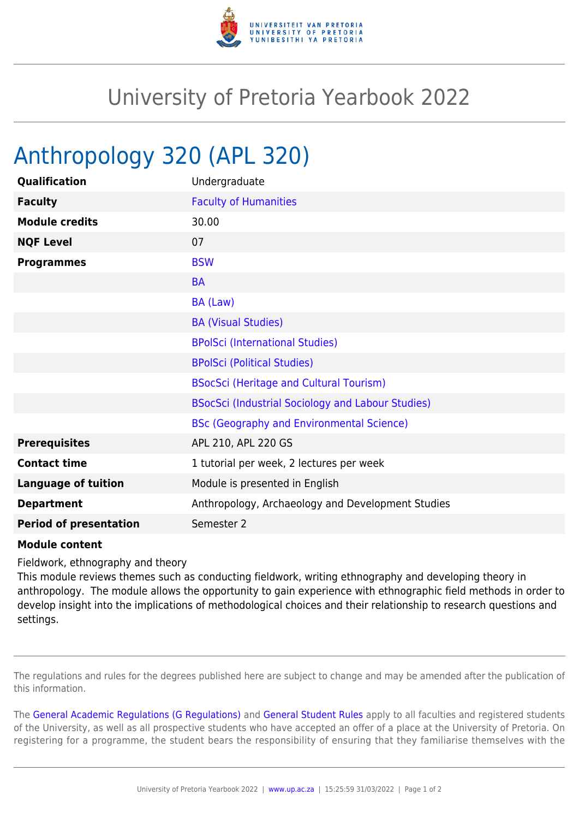

## University of Pretoria Yearbook 2022

## Anthropology 320 (APL 320)

| Qualification                 | Undergraduate                                     |
|-------------------------------|---------------------------------------------------|
| <b>Faculty</b>                | <b>Faculty of Humanities</b>                      |
| <b>Module credits</b>         | 30.00                                             |
| <b>NQF Level</b>              | 07                                                |
| <b>Programmes</b>             | <b>BSW</b>                                        |
|                               | <b>BA</b>                                         |
|                               | BA (Law)                                          |
|                               | <b>BA (Visual Studies)</b>                        |
|                               | <b>BPolSci (International Studies)</b>            |
|                               | <b>BPolSci (Political Studies)</b>                |
|                               | <b>BSocSci (Heritage and Cultural Tourism)</b>    |
|                               | BSocSci (Industrial Sociology and Labour Studies) |
|                               | <b>BSc (Geography and Environmental Science)</b>  |
| <b>Prerequisites</b>          | APL 210, APL 220 GS                               |
| <b>Contact time</b>           | 1 tutorial per week, 2 lectures per week          |
| <b>Language of tuition</b>    | Module is presented in English                    |
| <b>Department</b>             | Anthropology, Archaeology and Development Studies |
| <b>Period of presentation</b> | Semester 2                                        |

## **Module content**

Fieldwork, ethnography and theory

This module reviews themes such as conducting fieldwork, writing ethnography and developing theory in anthropology. The module allows the opportunity to gain experience with ethnographic field methods in order to develop insight into the implications of methodological choices and their relationship to research questions and settings.

The regulations and rules for the degrees published here are subject to change and may be amended after the publication of this information.

The [General Academic Regulations \(G Regulations\)](https://www.up.ac.za/faculty-of-education/yearbooks/2022/rules/view/REG) and [General Student Rules](https://www.up.ac.za/faculty-of-education/yearbooks/2022/rules/view/RUL) apply to all faculties and registered students of the University, as well as all prospective students who have accepted an offer of a place at the University of Pretoria. On registering for a programme, the student bears the responsibility of ensuring that they familiarise themselves with the